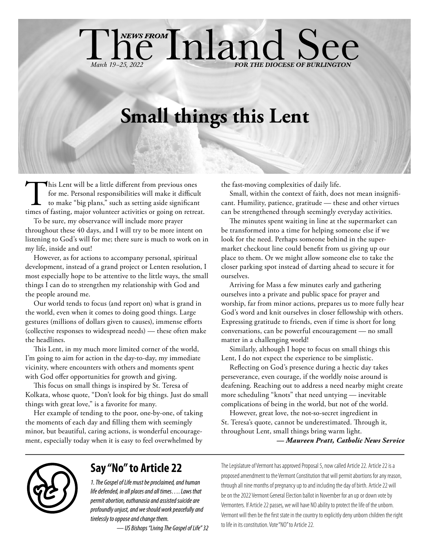# **Small things this Lent**

hewsreom**Inland See** 

This Lent will be a little different from previous ones for me. Personal responsibilities will make it difficult to make "big plans," such as setting aside significant times of fasting, major volunteer activities or going for me. Personal responsibilities will make it difficult to make "big plans," such as setting aside significant

*March 19-25, 2022* 

To be sure, my observance will include more prayer throughout these 40 days, and I will try to be more intent on listening to God's will for me; there sure is much to work on in my life, inside and out!

However, as for actions to accompany personal, spiritual development, instead of a grand project or Lenten resolution, I most especially hope to be attentive to the little ways, the small things I can do to strengthen my relationship with God and the people around me.

Our world tends to focus (and report on) what is grand in the world, even when it comes to doing good things. Large gestures (millions of dollars given to causes), immense efforts (collective responses to widespread needs) — these often make the headlines.

This Lent, in my much more limited corner of the world, I'm going to aim for action in the day-to-day, my immediate vicinity, where encounters with others and moments spent with God offer opportunities for growth and giving.

This focus on small things is inspired by St. Teresa of Kolkata, whose quote, "Don't look for big things. Just do small things with great love," is a favorite for many.

Her example of tending to the poor, one-by-one, of taking the moments of each day and filling them with seemingly minor, but beautiful, caring actions, is wonderful encouragement, especially today when it is easy to feel overwhelmed by

the fast-moving complexities of daily life.

Small, within the context of faith, does not mean insignificant. Humility, patience, gratitude — these and other virtues can be strengthened through seemingly everyday activities.

The minutes spent waiting in line at the supermarket can be transformed into a time for helping someone else if we look for the need. Perhaps someone behind in the supermarket checkout line could benefit from us giving up our place to them. Or we might allow someone else to take the closer parking spot instead of darting ahead to secure it for ourselves.

Arriving for Mass a few minutes early and gathering ourselves into a private and public space for prayer and worship, far from minor actions, prepares us to more fully hear God's word and knit ourselves in closer fellowship with others. Expressing gratitude to friends, even if time is short for long conversations, can be powerful encouragement — no small matter in a challenging world!

Similarly, although I hope to focus on small things this Lent, I do not expect the experience to be simplistic.

Reflecting on God's presence during a hectic day takes perseverance, even courage, if the worldly noise around is deafening. Reaching out to address a need nearby might create more scheduling "knots" that need untying — inevitable complications of being in the world, but not of the world.

However, great love, the not-so-secret ingredient in St. Teresa's quote, cannot be underestimated. Through it, throughout Lent, small things bring warm light.

*— Maureen Pratt, Catholic News Service*



# **Say "No" to Article 22**

*1. The Gospel of Life must be proclaimed, and human life defended, in all places and all times…. Laws that permit abortion, euthanasia and assisted suicide are profoundly unjust, and we should work peacefully and tirelessly to oppose and change them.* 

*— US Bishops "Living The Gospel of Life" 32*

The Legislature of Vermont has approved Proposal 5, now called Article 22. Article 22 is a proposed amendment to the Vermont Constitution that will permit abortions for any reason, through all nine months of pregnancy up to and including the day of birth. Article 22 will be on the 2022 Vermont General Election ballot in November for an up or down vote by Vermonters. If Article 22 passes, we will have NO ability to protect the life of the unborn. Vermont will then be the first state in the country to explicitly deny unborn children the right to life in its constitution. Vote "NO" to Article 22.